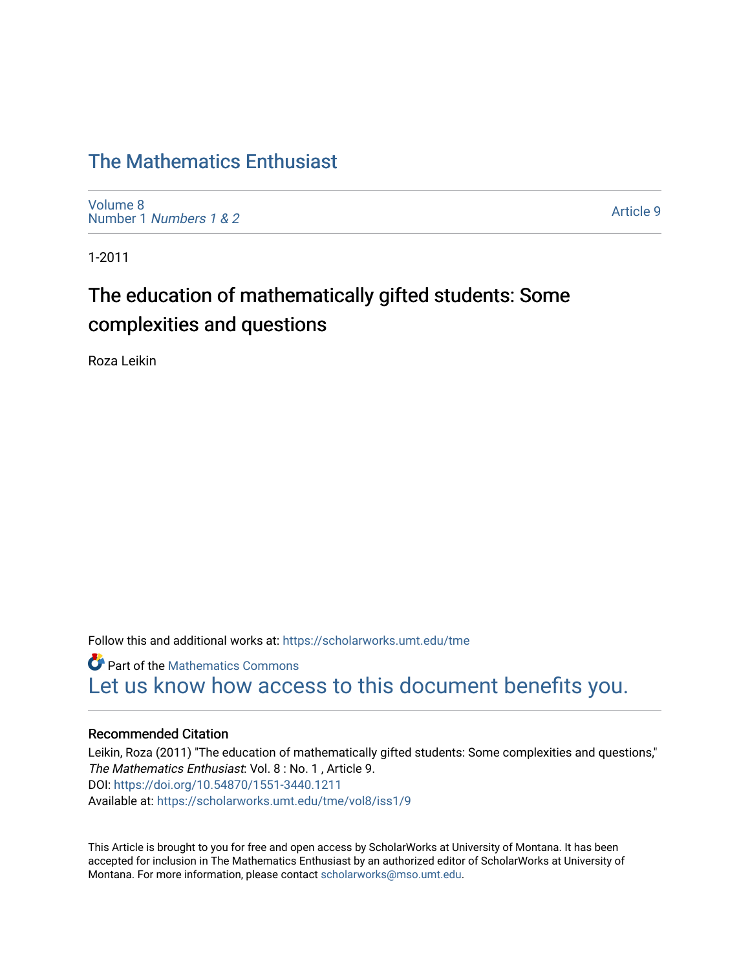# [The Mathematics Enthusiast](https://scholarworks.umt.edu/tme)

[Volume 8](https://scholarworks.umt.edu/tme/vol8) Number 1 [Numbers 1 & 2](https://scholarworks.umt.edu/tme/vol8/iss1)

[Article 9](https://scholarworks.umt.edu/tme/vol8/iss1/9) 

1-2011

# The education of mathematically gifted students: Some complexities and questions

Roza Leikin

Follow this and additional works at: [https://scholarworks.umt.edu/tme](https://scholarworks.umt.edu/tme?utm_source=scholarworks.umt.edu%2Ftme%2Fvol8%2Fiss1%2F9&utm_medium=PDF&utm_campaign=PDFCoverPages) 

**Part of the [Mathematics Commons](http://network.bepress.com/hgg/discipline/174?utm_source=scholarworks.umt.edu%2Ftme%2Fvol8%2Fiss1%2F9&utm_medium=PDF&utm_campaign=PDFCoverPages)** [Let us know how access to this document benefits you.](https://goo.gl/forms/s2rGfXOLzz71qgsB2) 

#### Recommended Citation

Leikin, Roza (2011) "The education of mathematically gifted students: Some complexities and questions," The Mathematics Enthusiast: Vol. 8 : No. 1 , Article 9. DOI:<https://doi.org/10.54870/1551-3440.1211> Available at: [https://scholarworks.umt.edu/tme/vol8/iss1/9](https://scholarworks.umt.edu/tme/vol8/iss1/9?utm_source=scholarworks.umt.edu%2Ftme%2Fvol8%2Fiss1%2F9&utm_medium=PDF&utm_campaign=PDFCoverPages) 

This Article is brought to you for free and open access by ScholarWorks at University of Montana. It has been accepted for inclusion in The Mathematics Enthusiast by an authorized editor of ScholarWorks at University of Montana. For more information, please contact [scholarworks@mso.umt.edu.](mailto:scholarworks@mso.umt.edu)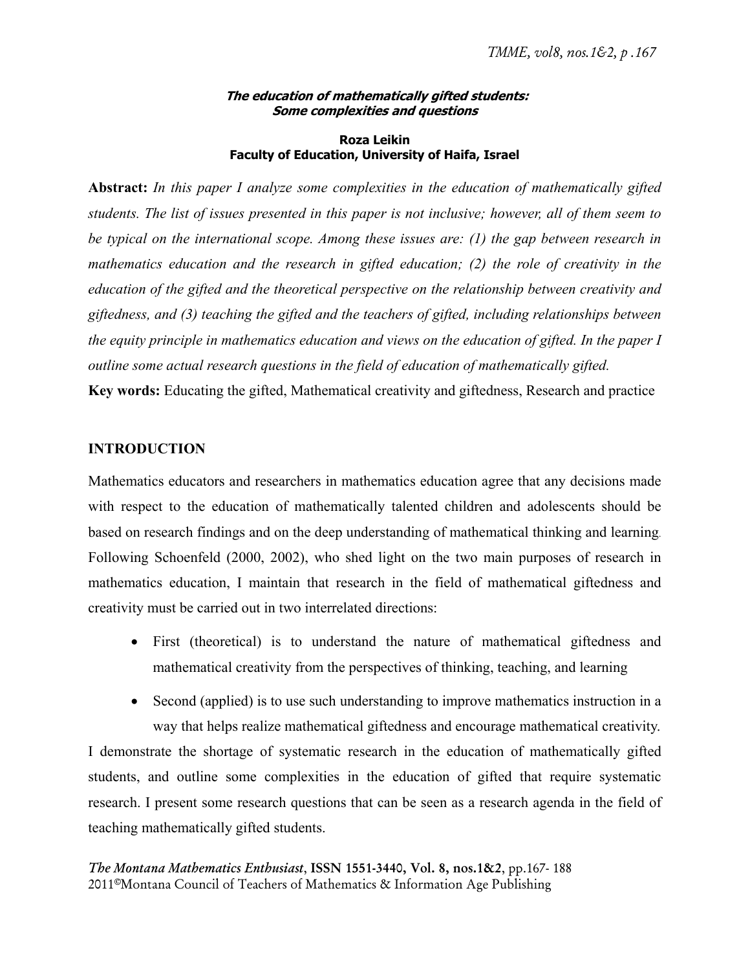#### **The education of mathematically gifted students: Some complexities and questions**

#### **Roza Leikin Faculty of Education, University of Haifa, Israel**

**Abstract:** *In this paper I analyze some complexities in the education of mathematically gifted students. The list of issues presented in this paper is not inclusive; however, all of them seem to be typical on the international scope. Among these issues are: (1) the gap between research in mathematics education and the research in gifted education; (2) the role of creativity in the education of the gifted and the theoretical perspective on the relationship between creativity and giftedness, and (3) teaching the gifted and the teachers of gifted, including relationships between the equity principle in mathematics education and views on the education of gifted. In the paper I outline some actual research questions in the field of education of mathematically gifted.* 

**Key words:** Educating the gifted, Mathematical creativity and giftedness, Research and practice

# **INTRODUCTION**

Mathematics educators and researchers in mathematics education agree that any decisions made with respect to the education of mathematically talented children and adolescents should be based on research findings and on the deep understanding of mathematical thinking and learning. Following Schoenfeld (2000, 2002), who shed light on the two main purposes of research in mathematics education, I maintain that research in the field of mathematical giftedness and creativity must be carried out in two interrelated directions:

- First (theoretical) is to understand the nature of mathematical giftedness and mathematical creativity from the perspectives of thinking, teaching, and learning
- Second (applied) is to use such understanding to improve mathematics instruction in a way that helps realize mathematical giftedness and encourage mathematical creativity. I demonstrate the shortage of systematic research in the education of mathematically gifted students, and outline some complexities in the education of gifted that require systematic research. I present some research questions that can be seen as a research agenda in the field of teaching mathematically gifted students.

*The Montana Mathematics Enthusiast*, ISSN 1551-3440, Vol. 8, nos.1&2, pp.167- 188 2011©Montana Council of Teachers of Mathematics & Information Age Publishing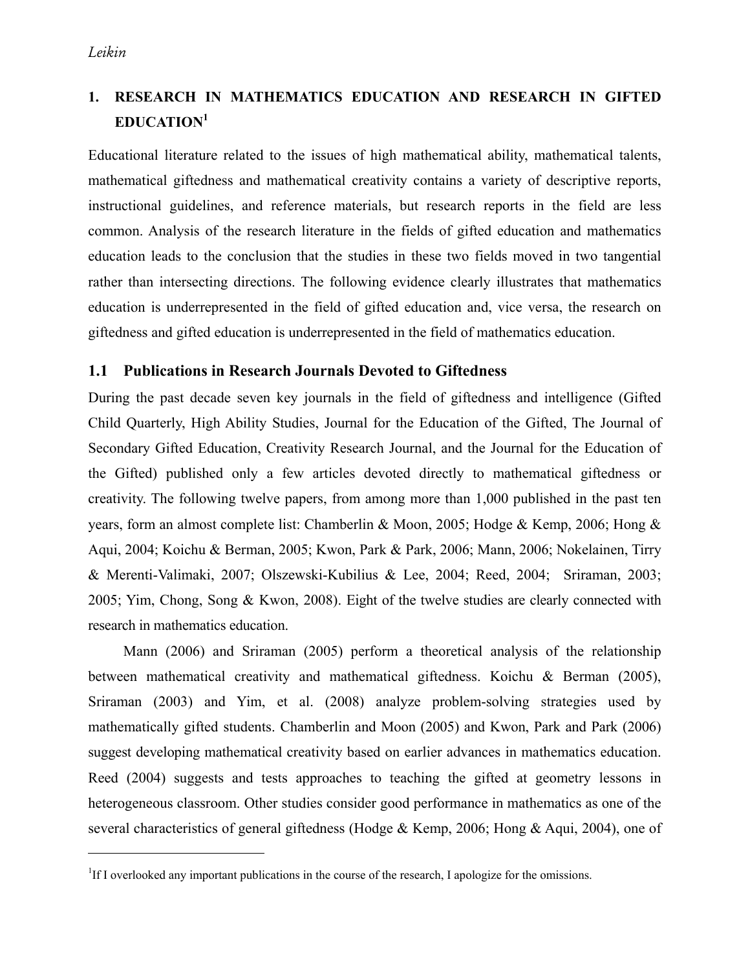$\overline{a}$ 

# **1. RESEARCH IN MATHEMATICS EDUCATION AND RESEARCH IN GIFTED EDUCATION1**

Educational literature related to the issues of high mathematical ability, mathematical talents, mathematical giftedness and mathematical creativity contains a variety of descriptive reports, instructional guidelines, and reference materials, but research reports in the field are less common. Analysis of the research literature in the fields of gifted education and mathematics education leads to the conclusion that the studies in these two fields moved in two tangential rather than intersecting directions. The following evidence clearly illustrates that mathematics education is underrepresented in the field of gifted education and, vice versa, the research on giftedness and gifted education is underrepresented in the field of mathematics education.

## **1.1 Publications in Research Journals Devoted to Giftedness**

During the past decade seven key journals in the field of giftedness and intelligence (Gifted Child Quarterly, High Ability Studies, Journal for the Education of the Gifted, The Journal of Secondary Gifted Education, Creativity Research Journal, and the Journal for the Education of the Gifted) published only a few articles devoted directly to mathematical giftedness or creativity. The following twelve papers, from among more than 1,000 published in the past ten years, form an almost complete list: Chamberlin & Moon, 2005; Hodge & Kemp, 2006; Hong & Aqui, 2004; Koichu & Berman, 2005; Kwon, Park & Park, 2006; Mann, 2006; Nokelainen, Tirry & Merenti-Valimaki, 2007; Olszewski-Kubilius & Lee, 2004; Reed, 2004; Sriraman, 2003; 2005; Yim, Chong, Song & Kwon, 2008). Eight of the twelve studies are clearly connected with research in mathematics education.

Mann (2006) and Sriraman (2005) perform a theoretical analysis of the relationship between mathematical creativity and mathematical giftedness. Koichu & Berman (2005), Sriraman (2003) and Yim, et al. (2008) analyze problem-solving strategies used by mathematically gifted students. Chamberlin and Moon (2005) and Kwon, Park and Park (2006) suggest developing mathematical creativity based on earlier advances in mathematics education. Reed (2004) suggests and tests approaches to teaching the gifted at geometry lessons in heterogeneous classroom. Other studies consider good performance in mathematics as one of the several characteristics of general giftedness (Hodge & Kemp, 2006; Hong & Aqui, 2004), one of

<sup>&</sup>lt;sup>1</sup>If I overlooked any important publications in the course of the research, I apologize for the omissions.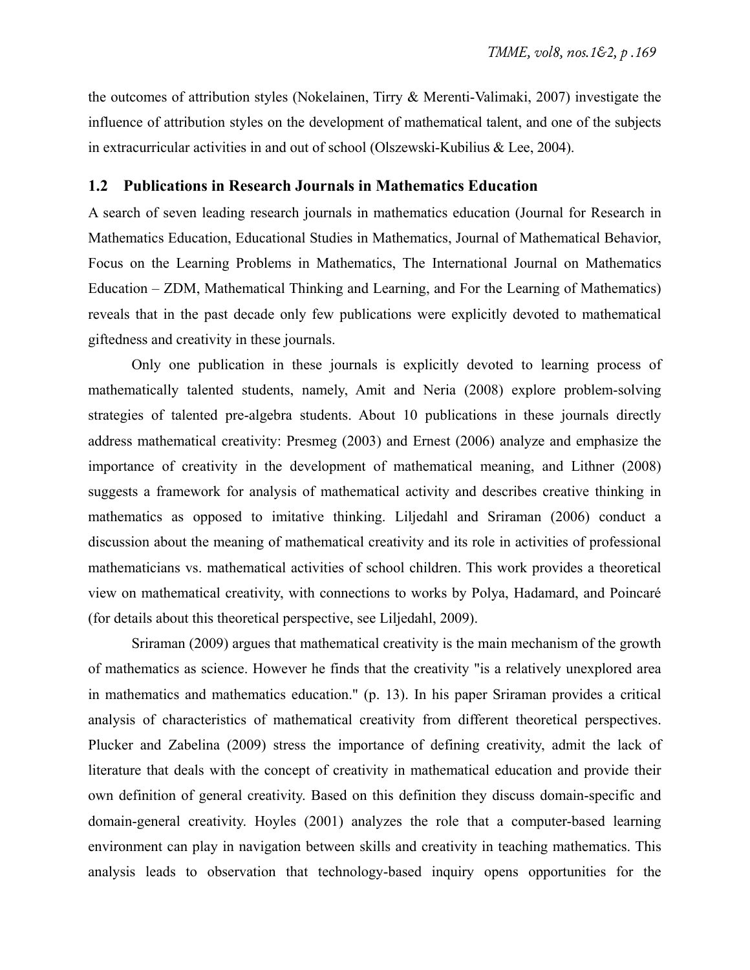the outcomes of attribution styles (Nokelainen, Tirry & Merenti-Valimaki, 2007) investigate the influence of attribution styles on the development of mathematical talent, and one of the subjects in extracurricular activities in and out of school (Olszewski-Kubilius & Lee, 2004).

#### **1.2 Publications in Research Journals in Mathematics Education**

A search of seven leading research journals in mathematics education (Journal for Research in Mathematics Education, Educational Studies in Mathematics, Journal of Mathematical Behavior, Focus on the Learning Problems in Mathematics, The International Journal on Mathematics Education – ZDM, Mathematical Thinking and Learning, and For the Learning of Mathematics) reveals that in the past decade only few publications were explicitly devoted to mathematical giftedness and creativity in these journals.

Only one publication in these journals is explicitly devoted to learning process of mathematically talented students, namely, Amit and Neria (2008) explore problem-solving strategies of talented pre-algebra students. About 10 publications in these journals directly address mathematical creativity: Presmeg (2003) and Ernest (2006) analyze and emphasize the importance of creativity in the development of mathematical meaning, and Lithner (2008) suggests a framework for analysis of mathematical activity and describes creative thinking in mathematics as opposed to imitative thinking. Liljedahl and Sriraman (2006) conduct a discussion about the meaning of mathematical creativity and its role in activities of professional mathematicians vs. mathematical activities of school children. This work provides a theoretical view on mathematical creativity, with connections to works by Polya, Hadamard, and Poincaré (for details about this theoretical perspective, see Liljedahl, 2009).

Sriraman (2009) argues that mathematical creativity is the main mechanism of the growth of mathematics as science. However he finds that the creativity "is a relatively unexplored area in mathematics and mathematics education." (p. 13). In his paper Sriraman provides a critical analysis of characteristics of mathematical creativity from different theoretical perspectives. Plucker and Zabelina (2009) stress the importance of defining creativity, admit the lack of literature that deals with the concept of creativity in mathematical education and provide their own definition of general creativity. Based on this definition they discuss domain-specific and domain-general creativity. Hoyles (2001) analyzes the role that a computer-based learning environment can play in navigation between skills and creativity in teaching mathematics. This analysis leads to observation that technology-based inquiry opens opportunities for the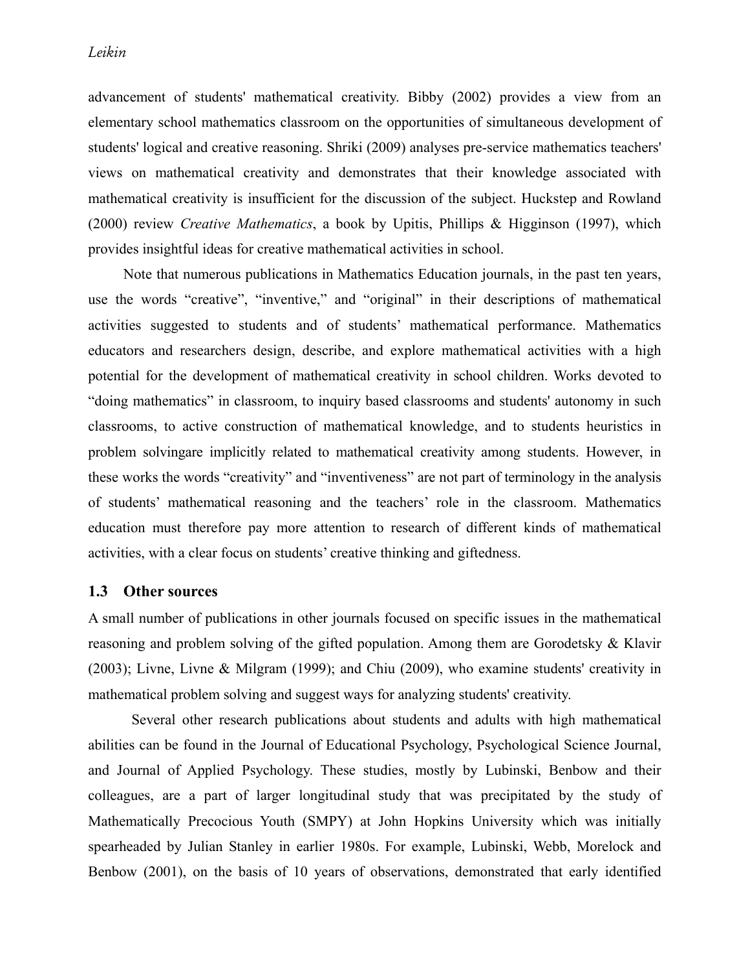#### *Leikin*

advancement of students' mathematical creativity. Bibby (2002) provides a view from an elementary school mathematics classroom on the opportunities of simultaneous development of students' logical and creative reasoning. Shriki (2009) analyses pre-service mathematics teachers' views on mathematical creativity and demonstrates that their knowledge associated with mathematical creativity is insufficient for the discussion of the subject. Huckstep and Rowland (2000) review *Creative Mathematics*, a book by Upitis, Phillips & Higginson (1997), which provides insightful ideas for creative mathematical activities in school.

Note that numerous publications in Mathematics Education journals, in the past ten years, use the words "creative", "inventive," and "original" in their descriptions of mathematical activities suggested to students and of students' mathematical performance. Mathematics educators and researchers design, describe, and explore mathematical activities with a high potential for the development of mathematical creativity in school children. Works devoted to "doing mathematics" in classroom, to inquiry based classrooms and students' autonomy in such classrooms, to active construction of mathematical knowledge, and to students heuristics in problem solvingare implicitly related to mathematical creativity among students. However, in these works the words "creativity" and "inventiveness" are not part of terminology in the analysis of students' mathematical reasoning and the teachers' role in the classroom. Mathematics education must therefore pay more attention to research of different kinds of mathematical activities, with a clear focus on students' creative thinking and giftedness.

#### **1.3 Other sources**

A small number of publications in other journals focused on specific issues in the mathematical reasoning and problem solving of the gifted population. Among them are Gorodetsky & Klavir (2003); Livne, Livne & Milgram (1999); and Chiu (2009), who examine students' creativity in mathematical problem solving and suggest ways for analyzing students' creativity.

Several other research publications about students and adults with high mathematical abilities can be found in the Journal of Educational Psychology, Psychological Science Journal, and Journal of Applied Psychology. These studies, mostly by Lubinski, Benbow and their colleagues, are a part of larger longitudinal study that was precipitated by the study of Mathematically Precocious Youth (SMPY) at John Hopkins University which was initially spearheaded by Julian Stanley in earlier 1980s. For example, Lubinski, Webb, Morelock and Benbow (2001), on the basis of 10 years of observations, demonstrated that early identified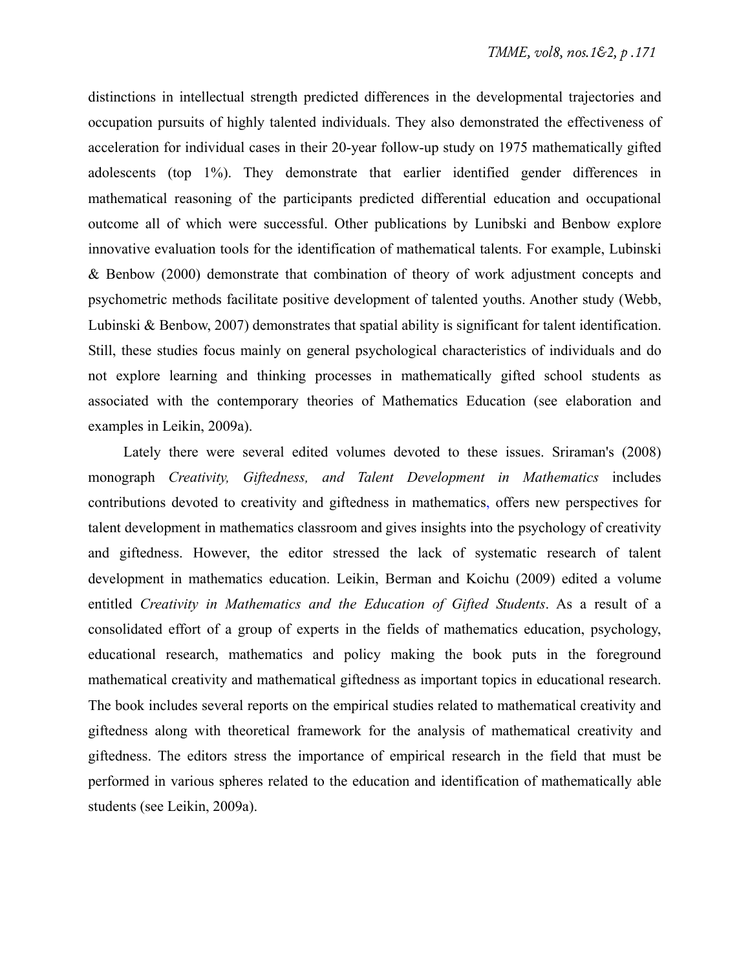distinctions in intellectual strength predicted differences in the developmental trajectories and occupation pursuits of highly talented individuals. They also demonstrated the effectiveness of acceleration for individual cases in their 20-year follow-up study on 1975 mathematically gifted adolescents (top 1%). They demonstrate that earlier identified gender differences in mathematical reasoning of the participants predicted differential education and occupational outcome all of which were successful. Other publications by Lunibski and Benbow explore innovative evaluation tools for the identification of mathematical talents. For example, Lubinski & Benbow (2000) demonstrate that combination of theory of work adjustment concepts and psychometric methods facilitate positive development of talented youths. Another study (Webb, Lubinski & Benbow, 2007) demonstrates that spatial ability is significant for talent identification. Still, these studies focus mainly on general psychological characteristics of individuals and do not explore learning and thinking processes in mathematically gifted school students as associated with the contemporary theories of Mathematics Education (see elaboration and examples in Leikin, 2009a).

Lately there were several edited volumes devoted to these issues. Sriraman's (2008) monograph *Creativity, Giftedness, and Talent Development in Mathematics* includes contributions devoted to creativity and giftedness in mathematics, offers new perspectives for talent development in mathematics classroom and gives insights into the psychology of creativity and giftedness. However, the editor stressed the lack of systematic research of talent development in mathematics education. Leikin, Berman and Koichu (2009) edited a volume entitled *Creativity in Mathematics and the Education of Gifted Students*. As a result of a consolidated effort of a group of experts in the fields of mathematics education, psychology, educational research, mathematics and policy making the book puts in the foreground mathematical creativity and mathematical giftedness as important topics in educational research. The book includes several reports on the empirical studies related to mathematical creativity and giftedness along with theoretical framework for the analysis of mathematical creativity and giftedness. The editors stress the importance of empirical research in the field that must be performed in various spheres related to the education and identification of mathematically able students (see Leikin, 2009a).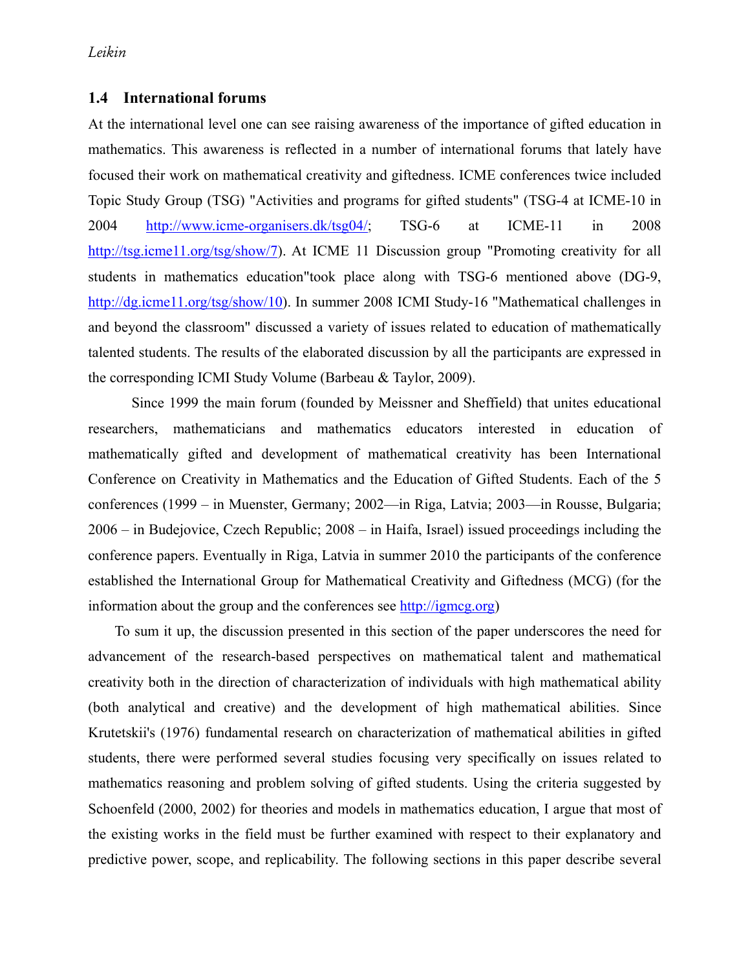#### **1.4 International forums**

At the international level one can see raising awareness of the importance of gifted education in mathematics. This awareness is reflected in a number of international forums that lately have focused their work on mathematical creativity and giftedness. ICME conferences twice included Topic Study Group (TSG) "Activities and programs for gifted students" (TSG-4 at ICME-10 in 2004 http://www.icme-organisers.dk/tsg04/; TSG-6 at ICME-11 in 2008 http://tsg.icme11.org/tsg/show/7). At ICME 11 Discussion group "Promoting creativity for all students in mathematics education"took place along with TSG-6 mentioned above (DG-9, http://dg.icme11.org/tsg/show/10). In summer 2008 ICMI Study-16 "Mathematical challenges in and beyond the classroom" discussed a variety of issues related to education of mathematically talented students. The results of the elaborated discussion by all the participants are expressed in the corresponding ICMI Study Volume (Barbeau & Taylor, 2009).

Since 1999 the main forum (founded by Meissner and Sheffield) that unites educational researchers, mathematicians and mathematics educators interested in education of mathematically gifted and development of mathematical creativity has been International Conference on Creativity in Mathematics and the Education of Gifted Students. Each of the 5 conferences (1999 – in Muenster, Germany; 2002—in Riga, Latvia; 2003—in Rousse, Bulgaria; 2006 – in Budejovice, Czech Republic; 2008 – in Haifa, Israel) issued proceedings including the conference papers. Eventually in Riga, Latvia in summer 2010 the participants of the conference established the International Group for Mathematical Creativity and Giftedness (MCG) (for the information about the group and the conferences see http://igmcg.org)

To sum it up, the discussion presented in this section of the paper underscores the need for advancement of the research-based perspectives on mathematical talent and mathematical creativity both in the direction of characterization of individuals with high mathematical ability (both analytical and creative) and the development of high mathematical abilities. Since Krutetskii's (1976) fundamental research on characterization of mathematical abilities in gifted students, there were performed several studies focusing very specifically on issues related to mathematics reasoning and problem solving of gifted students. Using the criteria suggested by Schoenfeld (2000, 2002) for theories and models in mathematics education, I argue that most of the existing works in the field must be further examined with respect to their explanatory and predictive power, scope, and replicability. The following sections in this paper describe several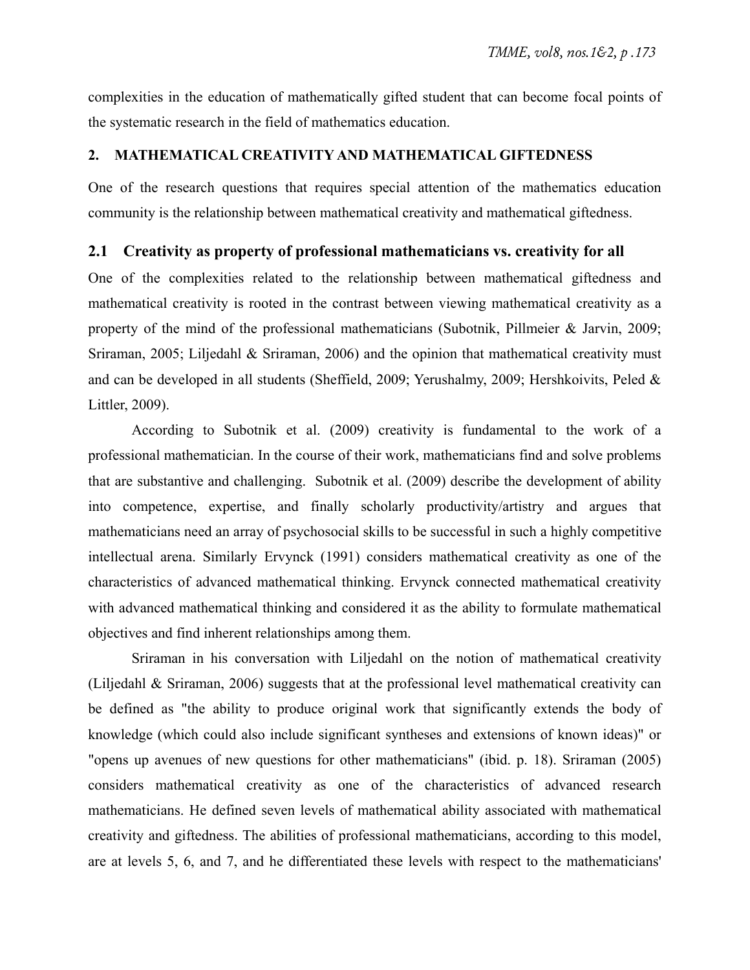complexities in the education of mathematically gifted student that can become focal points of the systematic research in the field of mathematics education.

#### **2. MATHEMATICAL CREATIVITY AND MATHEMATICAL GIFTEDNESS**

One of the research questions that requires special attention of the mathematics education community is the relationship between mathematical creativity and mathematical giftedness.

#### **2.1 Creativity as property of professional mathematicians vs. creativity for all**

One of the complexities related to the relationship between mathematical giftedness and mathematical creativity is rooted in the contrast between viewing mathematical creativity as a property of the mind of the professional mathematicians (Subotnik, Pillmeier & Jarvin, 2009; Sriraman, 2005; Liljedahl & Sriraman, 2006) and the opinion that mathematical creativity must and can be developed in all students (Sheffield, 2009; Yerushalmy, 2009; Hershkoivits, Peled & Littler, 2009).

According to Subotnik et al. (2009) creativity is fundamental to the work of a professional mathematician. In the course of their work, mathematicians find and solve problems that are substantive and challenging. Subotnik et al. (2009) describe the development of ability into competence, expertise, and finally scholarly productivity/artistry and argues that mathematicians need an array of psychosocial skills to be successful in such a highly competitive intellectual arena. Similarly Ervynck (1991) considers mathematical creativity as one of the characteristics of advanced mathematical thinking. Ervynck connected mathematical creativity with advanced mathematical thinking and considered it as the ability to formulate mathematical objectives and find inherent relationships among them.

Sriraman in his conversation with Liljedahl on the notion of mathematical creativity (Liljedahl & Sriraman, 2006) suggests that at the professional level mathematical creativity can be defined as "the ability to produce original work that significantly extends the body of knowledge (which could also include significant syntheses and extensions of known ideas)" or "opens up avenues of new questions for other mathematicians" (ibid. p. 18). Sriraman (2005) considers mathematical creativity as one of the characteristics of advanced research mathematicians. He defined seven levels of mathematical ability associated with mathematical creativity and giftedness. The abilities of professional mathematicians, according to this model, are at levels 5, 6, and 7, and he differentiated these levels with respect to the mathematicians'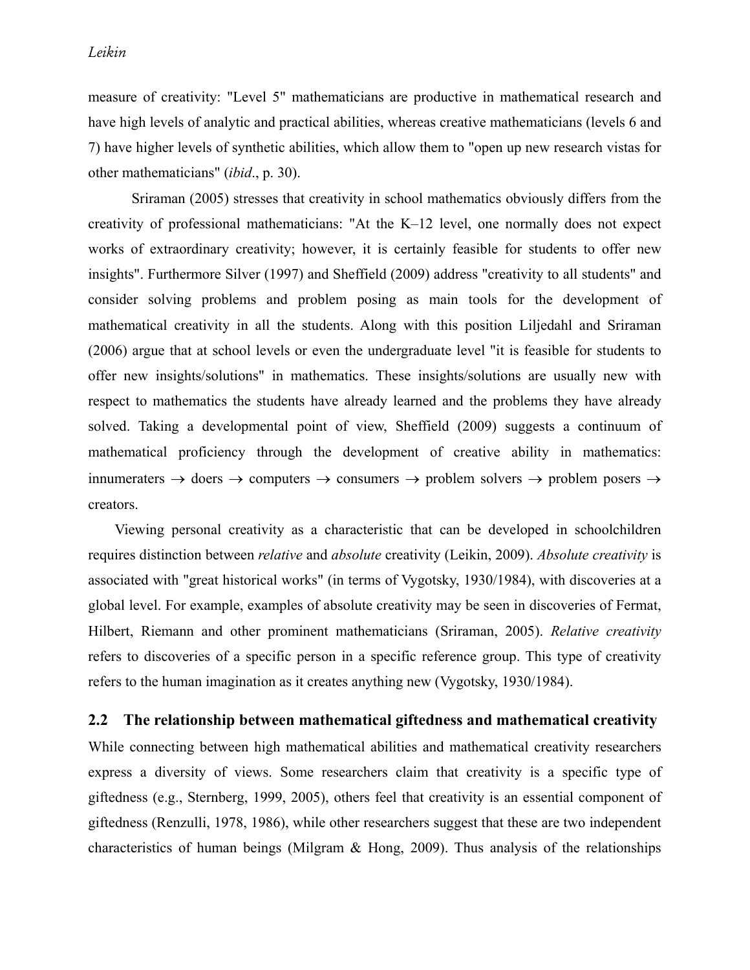measure of creativity: "Level 5" mathematicians are productive in mathematical research and have high levels of analytic and practical abilities, whereas creative mathematicians (levels 6 and 7) have higher levels of synthetic abilities, which allow them to "open up new research vistas for other mathematicians" (*ibid*., p. 30).

Sriraman (2005) stresses that creativity in school mathematics obviously differs from the creativity of professional mathematicians: "At the K–12 level, one normally does not expect works of extraordinary creativity; however, it is certainly feasible for students to offer new insights". Furthermore Silver (1997) and Sheffield (2009) address "creativity to all students" and consider solving problems and problem posing as main tools for the development of mathematical creativity in all the students. Along with this position Liljedahl and Sriraman (2006) argue that at school levels or even the undergraduate level "it is feasible for students to offer new insights/solutions" in mathematics. These insights/solutions are usually new with respect to mathematics the students have already learned and the problems they have already solved. Taking a developmental point of view, Sheffield (2009) suggests a continuum of mathematical proficiency through the development of creative ability in mathematics: innumeraters  $\rightarrow$  doers  $\rightarrow$  computers  $\rightarrow$  consumers  $\rightarrow$  problem solvers  $\rightarrow$  problem posers  $\rightarrow$ creators.

Viewing personal creativity as a characteristic that can be developed in schoolchildren requires distinction between *relative* and *absolute* creativity (Leikin, 2009). *Absolute creativity* is associated with "great historical works" (in terms of Vygotsky, 1930/1984), with discoveries at a global level. For example, examples of absolute creativity may be seen in discoveries of Fermat, Hilbert, Riemann and other prominent mathematicians (Sriraman, 2005). *Relative creativity* refers to discoveries of a specific person in a specific reference group. This type of creativity refers to the human imagination as it creates anything new (Vygotsky, 1930/1984).

#### **2.2 The relationship between mathematical giftedness and mathematical creativity**

While connecting between high mathematical abilities and mathematical creativity researchers express a diversity of views. Some researchers claim that creativity is a specific type of giftedness (e.g., Sternberg, 1999, 2005), others feel that creativity is an essential component of giftedness (Renzulli, 1978, 1986), while other researchers suggest that these are two independent characteristics of human beings (Milgram & Hong, 2009). Thus analysis of the relationships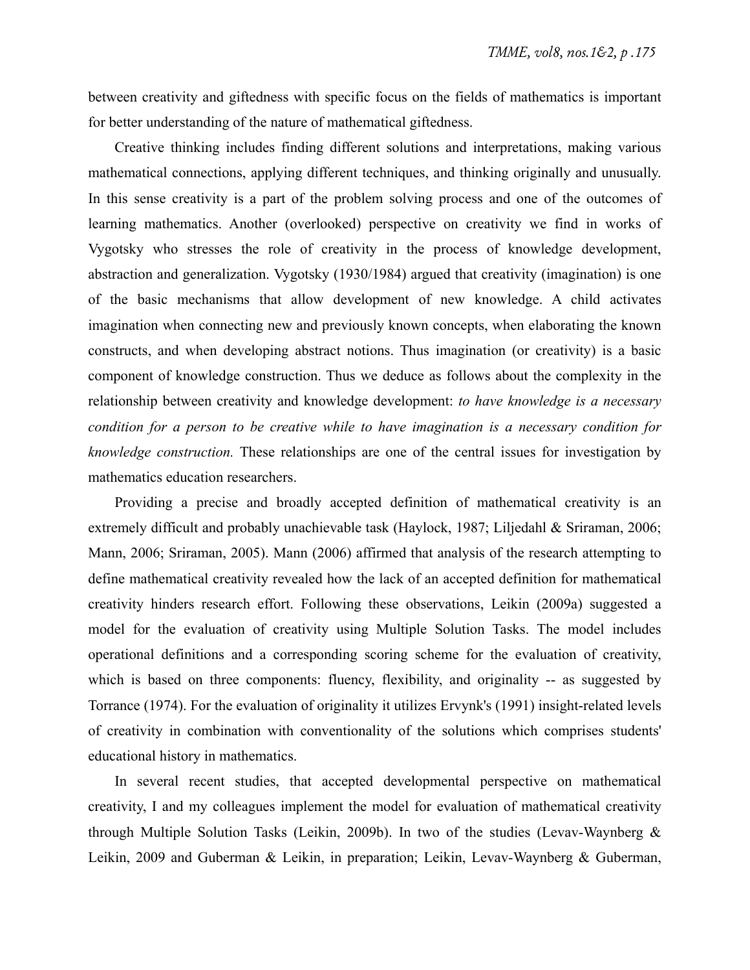between creativity and giftedness with specific focus on the fields of mathematics is important for better understanding of the nature of mathematical giftedness.

Creative thinking includes finding different solutions and interpretations, making various mathematical connections, applying different techniques, and thinking originally and unusually. In this sense creativity is a part of the problem solving process and one of the outcomes of learning mathematics. Another (overlooked) perspective on creativity we find in works of Vygotsky who stresses the role of creativity in the process of knowledge development, abstraction and generalization. Vygotsky (1930/1984) argued that creativity (imagination) is one of the basic mechanisms that allow development of new knowledge. A child activates imagination when connecting new and previously known concepts, when elaborating the known constructs, and when developing abstract notions. Thus imagination (or creativity) is a basic component of knowledge construction. Thus we deduce as follows about the complexity in the relationship between creativity and knowledge development: *to have knowledge is a necessary condition for a person to be creative while to have imagination is a necessary condition for knowledge construction.* These relationships are one of the central issues for investigation by mathematics education researchers.

Providing a precise and broadly accepted definition of mathematical creativity is an extremely difficult and probably unachievable task (Haylock, 1987; Liljedahl & Sriraman, 2006; Mann, 2006; Sriraman, 2005). Mann (2006) affirmed that analysis of the research attempting to define mathematical creativity revealed how the lack of an accepted definition for mathematical creativity hinders research effort. Following these observations, Leikin (2009a) suggested a model for the evaluation of creativity using Multiple Solution Tasks. The model includes operational definitions and a corresponding scoring scheme for the evaluation of creativity, which is based on three components: fluency, flexibility, and originality -- as suggested by Torrance (1974). For the evaluation of originality it utilizes Ervynk's (1991) insight-related levels of creativity in combination with conventionality of the solutions which comprises students' educational history in mathematics.

In several recent studies, that accepted developmental perspective on mathematical creativity, I and my colleagues implement the model for evaluation of mathematical creativity through Multiple Solution Tasks (Leikin, 2009b). In two of the studies (Levav-Waynberg & Leikin, 2009 and Guberman & Leikin, in preparation; Leikin, Levav-Waynberg & Guberman,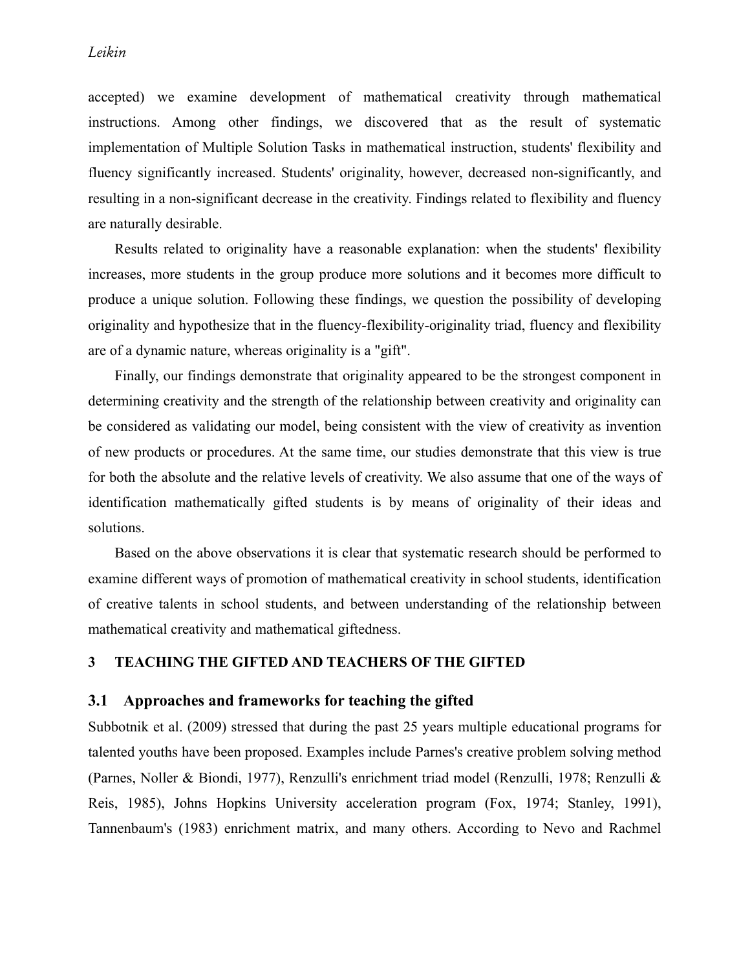accepted) we examine development of mathematical creativity through mathematical instructions. Among other findings, we discovered that as the result of systematic implementation of Multiple Solution Tasks in mathematical instruction, students' flexibility and fluency significantly increased. Students' originality, however, decreased non-significantly, and resulting in a non-significant decrease in the creativity. Findings related to flexibility and fluency are naturally desirable.

Results related to originality have a reasonable explanation: when the students' flexibility increases, more students in the group produce more solutions and it becomes more difficult to produce a unique solution. Following these findings, we question the possibility of developing originality and hypothesize that in the fluency-flexibility-originality triad, fluency and flexibility are of a dynamic nature, whereas originality is a "gift".

Finally, our findings demonstrate that originality appeared to be the strongest component in determining creativity and the strength of the relationship between creativity and originality can be considered as validating our model, being consistent with the view of creativity as invention of new products or procedures. At the same time, our studies demonstrate that this view is true for both the absolute and the relative levels of creativity. We also assume that one of the ways of identification mathematically gifted students is by means of originality of their ideas and solutions.

Based on the above observations it is clear that systematic research should be performed to examine different ways of promotion of mathematical creativity in school students, identification of creative talents in school students, and between understanding of the relationship between mathematical creativity and mathematical giftedness.

### **3 TEACHING THE GIFTED AND TEACHERS OF THE GIFTED**

#### **3.1 Approaches and frameworks for teaching the gifted**

Subbotnik et al. (2009) stressed that during the past 25 years multiple educational programs for talented youths have been proposed. Examples include Parnes's creative problem solving method (Parnes, Noller & Biondi, 1977), Renzulli's enrichment triad model (Renzulli, 1978; Renzulli & Reis, 1985), Johns Hopkins University acceleration program (Fox, 1974; Stanley, 1991), Tannenbaum's (1983) enrichment matrix, and many others. According to Nevo and Rachmel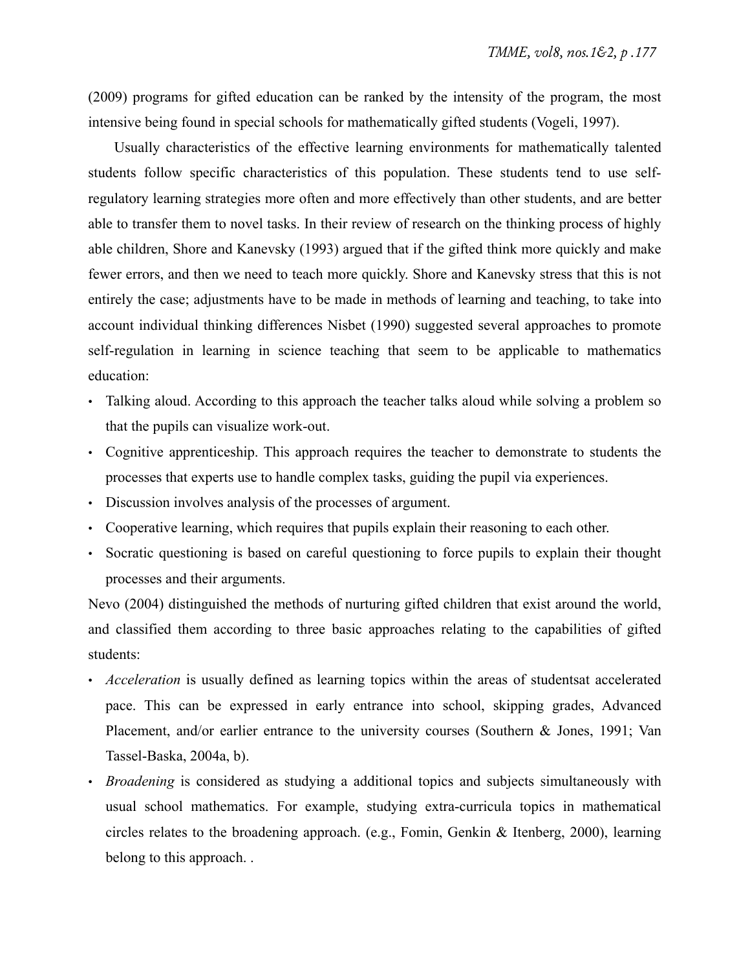(2009) programs for gifted education can be ranked by the intensity of the program, the most intensive being found in special schools for mathematically gifted students (Vogeli, 1997).

Usually characteristics of the effective learning environments for mathematically talented students follow specific characteristics of this population. These students tend to use selfregulatory learning strategies more often and more effectively than other students, and are better able to transfer them to novel tasks. In their review of research on the thinking process of highly able children, Shore and Kanevsky (1993) argued that if the gifted think more quickly and make fewer errors, and then we need to teach more quickly. Shore and Kanevsky stress that this is not entirely the case; adjustments have to be made in methods of learning and teaching, to take into account individual thinking differences Nisbet (1990) suggested several approaches to promote self-regulation in learning in science teaching that seem to be applicable to mathematics education:

- Talking aloud. According to this approach the teacher talks aloud while solving a problem so that the pupils can visualize work-out.
- Cognitive apprenticeship. This approach requires the teacher to demonstrate to students the processes that experts use to handle complex tasks, guiding the pupil via experiences.
- Discussion involves analysis of the processes of argument.
- Cooperative learning, which requires that pupils explain their reasoning to each other.
- Socratic questioning is based on careful questioning to force pupils to explain their thought processes and their arguments.

Nevo (2004) distinguished the methods of nurturing gifted children that exist around the world, and classified them according to three basic approaches relating to the capabilities of gifted students:

- *Acceleration* is usually defined as learning topics within the areas of studentsat accelerated pace. This can be expressed in early entrance into school, skipping grades, Advanced Placement, and/or earlier entrance to the university courses (Southern & Jones, 1991; Van Tassel-Baska, 2004a, b).
- *Broadening* is considered as studying a additional topics and subjects simultaneously with usual school mathematics. For example, studying extra-curricula topics in mathematical circles relates to the broadening approach. (e.g., Fomin, Genkin & Itenberg, 2000), learning belong to this approach. .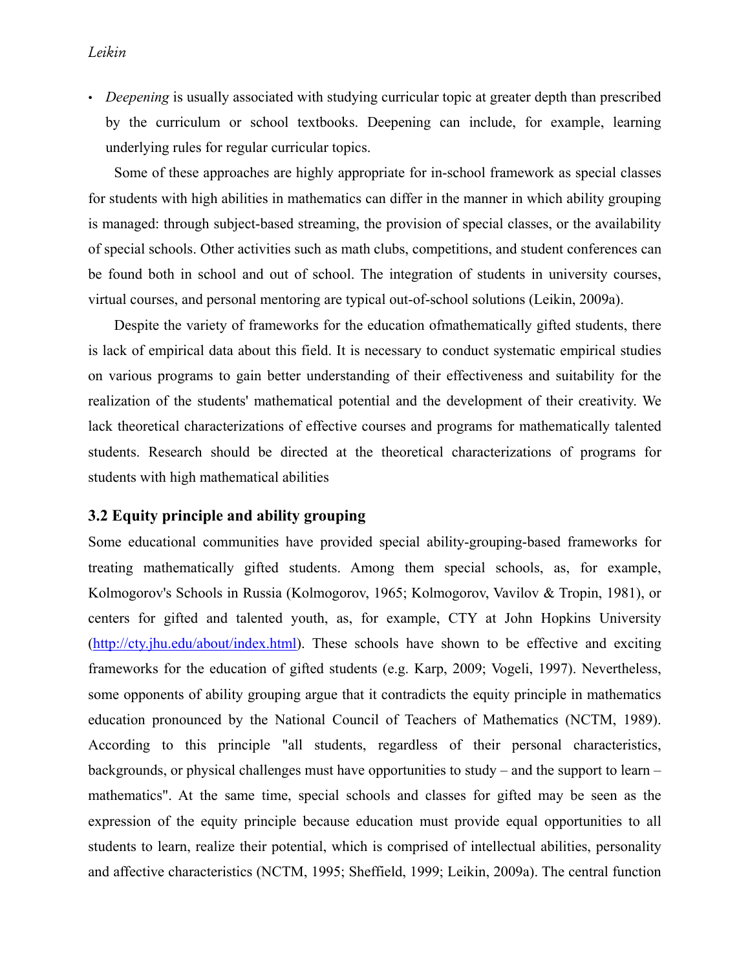• *Deepening* is usually associated with studying curricular topic at greater depth than prescribed by the curriculum or school textbooks. Deepening can include, for example, learning underlying rules for regular curricular topics.

Some of these approaches are highly appropriate for in-school framework as special classes for students with high abilities in mathematics can differ in the manner in which ability grouping is managed: through subject-based streaming, the provision of special classes, or the availability of special schools. Other activities such as math clubs, competitions, and student conferences can be found both in school and out of school. The integration of students in university courses, virtual courses, and personal mentoring are typical out-of-school solutions (Leikin, 2009a).

Despite the variety of frameworks for the education ofmathematically gifted students, there is lack of empirical data about this field. It is necessary to conduct systematic empirical studies on various programs to gain better understanding of their effectiveness and suitability for the realization of the students' mathematical potential and the development of their creativity. We lack theoretical characterizations of effective courses and programs for mathematically talented students. Research should be directed at the theoretical characterizations of programs for students with high mathematical abilities

## **3.2 Equity principle and ability grouping**

Some educational communities have provided special ability-grouping-based frameworks for treating mathematically gifted students. Among them special schools, as, for example, Kolmogorov's Schools in Russia (Kolmogorov, 1965; Kolmogorov, Vavilov & Tropin, 1981), or centers for gifted and talented youth, as, for example, CTY at John Hopkins University (http://cty.jhu.edu/about/index.html). These schools have shown to be effective and exciting frameworks for the education of gifted students (e.g. Karp, 2009; Vogeli, 1997). Nevertheless, some opponents of ability grouping argue that it contradicts the equity principle in mathematics education pronounced by the National Council of Teachers of Mathematics (NCTM, 1989). According to this principle "all students, regardless of their personal characteristics, backgrounds, or physical challenges must have opportunities to study – and the support to learn – mathematics". At the same time, special schools and classes for gifted may be seen as the expression of the equity principle because education must provide equal opportunities to all students to learn, realize their potential, which is comprised of intellectual abilities, personality and affective characteristics (NCTM, 1995; Sheffield, 1999; Leikin, 2009a). The central function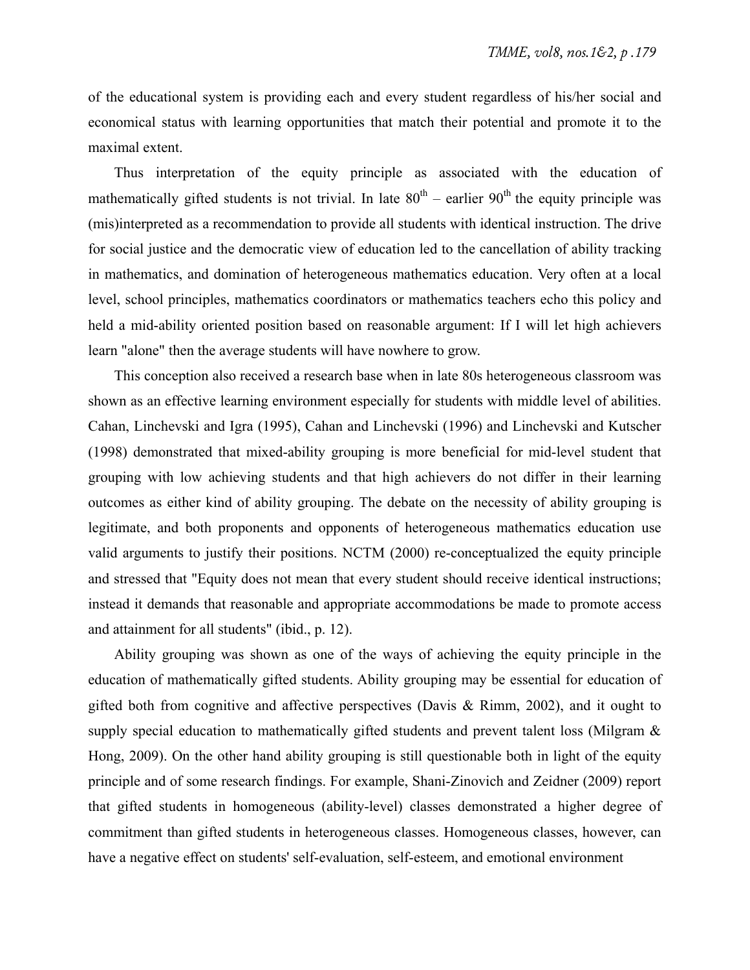of the educational system is providing each and every student regardless of his/her social and economical status with learning opportunities that match their potential and promote it to the maximal extent.

Thus interpretation of the equity principle as associated with the education of mathematically gifted students is not trivial. In late  $80^{th}$  – earlier  $90^{th}$  the equity principle was (mis)interpreted as a recommendation to provide all students with identical instruction. The drive for social justice and the democratic view of education led to the cancellation of ability tracking in mathematics, and domination of heterogeneous mathematics education. Very often at a local level, school principles, mathematics coordinators or mathematics teachers echo this policy and held a mid-ability oriented position based on reasonable argument: If I will let high achievers learn "alone" then the average students will have nowhere to grow.

This conception also received a research base when in late 80s heterogeneous classroom was shown as an effective learning environment especially for students with middle level of abilities. Cahan, Linchevski and Igra (1995), Cahan and Linchevski (1996) and Linchevski and Kutscher (1998) demonstrated that mixed-ability grouping is more beneficial for mid-level student that grouping with low achieving students and that high achievers do not differ in their learning outcomes as either kind of ability grouping. The debate on the necessity of ability grouping is legitimate, and both proponents and opponents of heterogeneous mathematics education use valid arguments to justify their positions. NCTM (2000) re-conceptualized the equity principle and stressed that "Equity does not mean that every student should receive identical instructions; instead it demands that reasonable and appropriate accommodations be made to promote access and attainment for all students" (ibid., p. 12).

Ability grouping was shown as one of the ways of achieving the equity principle in the education of mathematically gifted students. Ability grouping may be essential for education of gifted both from cognitive and affective perspectives (Davis & Rimm, 2002), and it ought to supply special education to mathematically gifted students and prevent talent loss (Milgram  $\&$ Hong, 2009). On the other hand ability grouping is still questionable both in light of the equity principle and of some research findings. For example, Shani-Zinovich and Zeidner (2009) report that gifted students in homogeneous (ability-level) classes demonstrated a higher degree of commitment than gifted students in heterogeneous classes. Homogeneous classes, however, can have a negative effect on students' self-evaluation, self-esteem, and emotional environment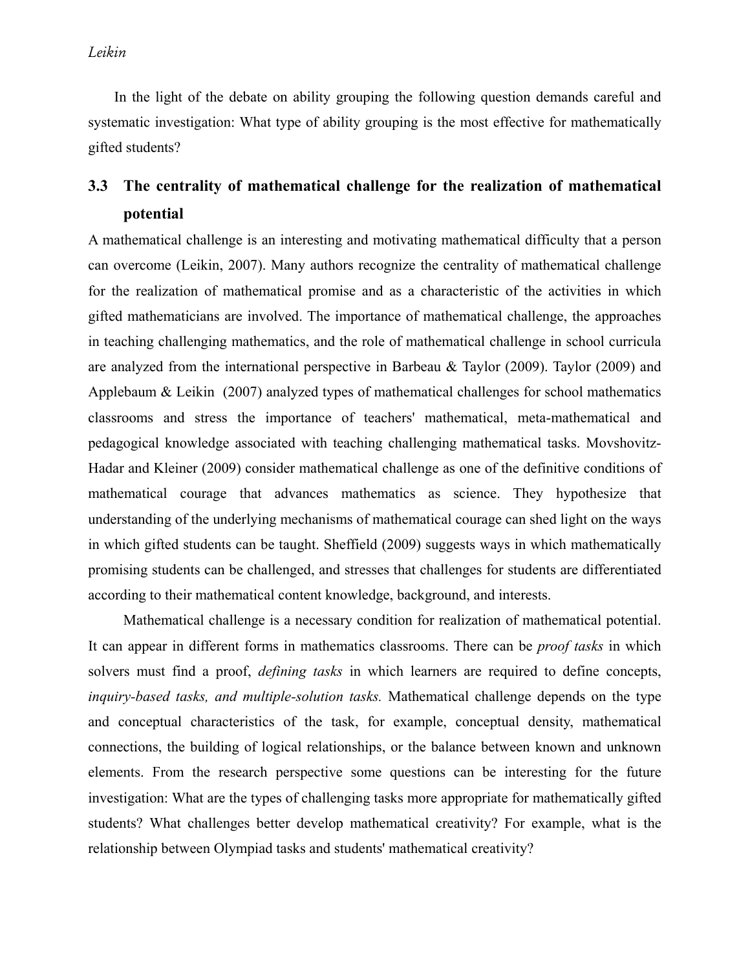*Leikin*

In the light of the debate on ability grouping the following question demands careful and systematic investigation: What type of ability grouping is the most effective for mathematically gifted students?

# **3.3 The centrality of mathematical challenge for the realization of mathematical potential**

A mathematical challenge is an interesting and motivating mathematical difficulty that a person can overcome (Leikin, 2007). Many authors recognize the centrality of mathematical challenge for the realization of mathematical promise and as a characteristic of the activities in which gifted mathematicians are involved. The importance of mathematical challenge, the approaches in teaching challenging mathematics, and the role of mathematical challenge in school curricula are analyzed from the international perspective in Barbeau & Taylor (2009). Taylor (2009) and Applebaum & Leikin (2007) analyzed types of mathematical challenges for school mathematics classrooms and stress the importance of teachers' mathematical, meta-mathematical and pedagogical knowledge associated with teaching challenging mathematical tasks. Movshovitz-Hadar and Kleiner (2009) consider mathematical challenge as one of the definitive conditions of mathematical courage that advances mathematics as science. They hypothesize that understanding of the underlying mechanisms of mathematical courage can shed light on the ways in which gifted students can be taught. Sheffield (2009) suggests ways in which mathematically promising students can be challenged, and stresses that challenges for students are differentiated according to their mathematical content knowledge, background, and interests.

Mathematical challenge is a necessary condition for realization of mathematical potential. It can appear in different forms in mathematics classrooms. There can be *proof tasks* in which solvers must find a proof, *defining tasks* in which learners are required to define concepts, *inquiry-based tasks, and multiple-solution tasks.* Mathematical challenge depends on the type and conceptual characteristics of the task, for example, conceptual density, mathematical connections, the building of logical relationships, or the balance between known and unknown elements. From the research perspective some questions can be interesting for the future investigation: What are the types of challenging tasks more appropriate for mathematically gifted students? What challenges better develop mathematical creativity? For example, what is the relationship between Olympiad tasks and students' mathematical creativity?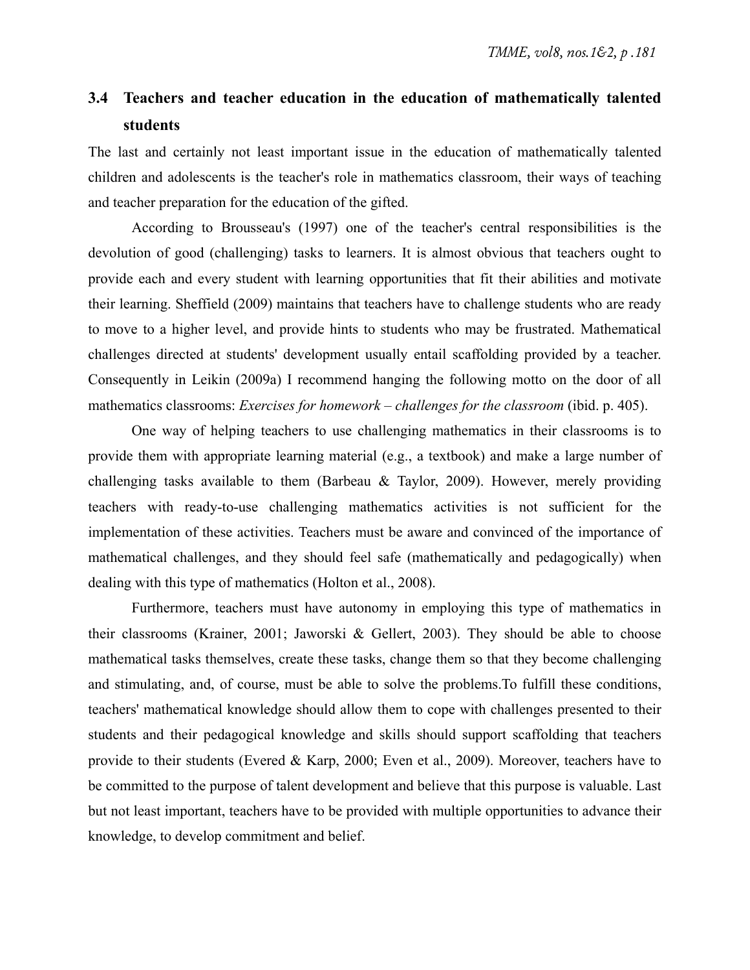# **3.4 Teachers and teacher education in the education of mathematically talented students**

The last and certainly not least important issue in the education of mathematically talented children and adolescents is the teacher's role in mathematics classroom, their ways of teaching and teacher preparation for the education of the gifted.

According to Brousseau's (1997) one of the teacher's central responsibilities is the devolution of good (challenging) tasks to learners. It is almost obvious that teachers ought to provide each and every student with learning opportunities that fit their abilities and motivate their learning. Sheffield (2009) maintains that teachers have to challenge students who are ready to move to a higher level, and provide hints to students who may be frustrated. Mathematical challenges directed at students' development usually entail scaffolding provided by a teacher. Consequently in Leikin (2009a) I recommend hanging the following motto on the door of all mathematics classrooms: *Exercises for homework – challenges for the classroom* (ibid. p. 405).

One way of helping teachers to use challenging mathematics in their classrooms is to provide them with appropriate learning material (e.g., a textbook) and make a large number of challenging tasks available to them (Barbeau  $\&$  Taylor, 2009). However, merely providing teachers with ready-to-use challenging mathematics activities is not sufficient for the implementation of these activities. Teachers must be aware and convinced of the importance of mathematical challenges, and they should feel safe (mathematically and pedagogically) when dealing with this type of mathematics (Holton et al., 2008).

Furthermore, teachers must have autonomy in employing this type of mathematics in their classrooms (Krainer, 2001; Jaworski & Gellert, 2003). They should be able to choose mathematical tasks themselves, create these tasks, change them so that they become challenging and stimulating, and, of course, must be able to solve the problems.To fulfill these conditions, teachers' mathematical knowledge should allow them to cope with challenges presented to their students and their pedagogical knowledge and skills should support scaffolding that teachers provide to their students (Evered & Karp, 2000; Even et al., 2009). Moreover, teachers have to be committed to the purpose of talent development and believe that this purpose is valuable. Last but not least important, teachers have to be provided with multiple opportunities to advance their knowledge, to develop commitment and belief.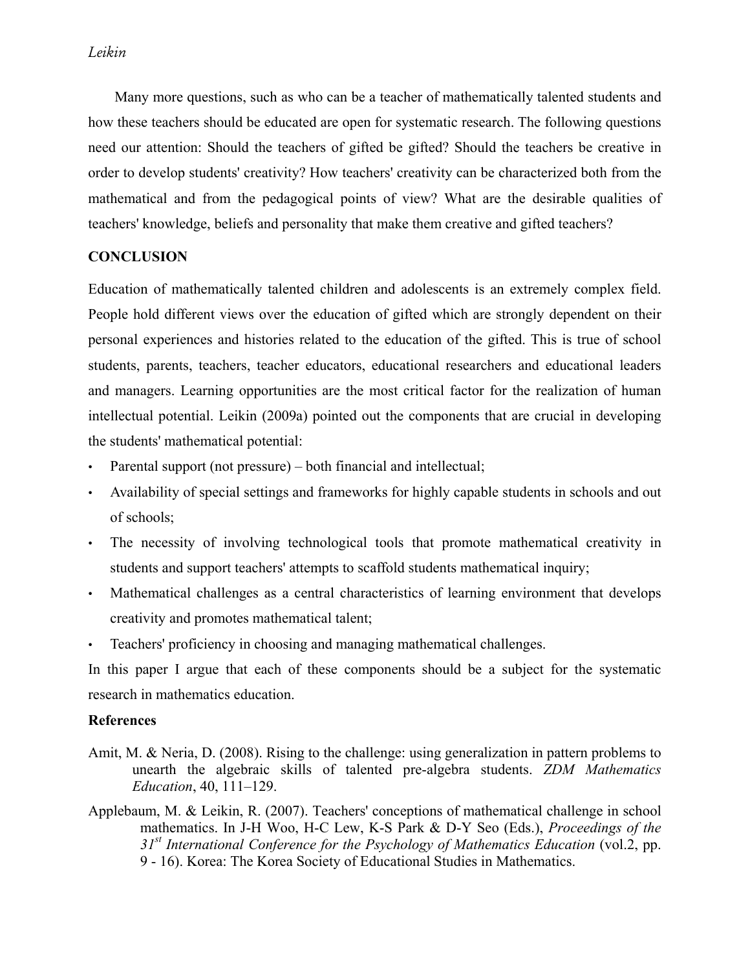Many more questions, such as who can be a teacher of mathematically talented students and how these teachers should be educated are open for systematic research. The following questions need our attention: Should the teachers of gifted be gifted? Should the teachers be creative in order to develop students' creativity? How teachers' creativity can be characterized both from the mathematical and from the pedagogical points of view? What are the desirable qualities of teachers' knowledge, beliefs and personality that make them creative and gifted teachers?

## **CONCLUSION**

Education of mathematically talented children and adolescents is an extremely complex field. People hold different views over the education of gifted which are strongly dependent on their personal experiences and histories related to the education of the gifted. This is true of school students, parents, teachers, teacher educators, educational researchers and educational leaders and managers. Learning opportunities are the most critical factor for the realization of human intellectual potential. Leikin (2009a) pointed out the components that are crucial in developing the students' mathematical potential:

- Parental support (not pressure) both financial and intellectual;
- Availability of special settings and frameworks for highly capable students in schools and out of schools;
- The necessity of involving technological tools that promote mathematical creativity in students and support teachers' attempts to scaffold students mathematical inquiry;
- Mathematical challenges as a central characteristics of learning environment that develops creativity and promotes mathematical talent;
- Teachers' proficiency in choosing and managing mathematical challenges.

In this paper I argue that each of these components should be a subject for the systematic research in mathematics education.

## **References**

- Amit, M. & Neria, D. (2008). Rising to the challenge: using generalization in pattern problems to unearth the algebraic skills of talented pre-algebra students. *ZDM Mathematics Education*, 40, 111–129.
- Applebaum, M. & Leikin, R. (2007). Teachers' conceptions of mathematical challenge in school mathematics. In J-H Woo, H-C Lew, K-S Park & D-Y Seo (Eds.), *Proceedings of the 31st International Conference for the Psychology of Mathematics Education* (vol.2, pp. 9 - 16). Korea: The Korea Society of Educational Studies in Mathematics.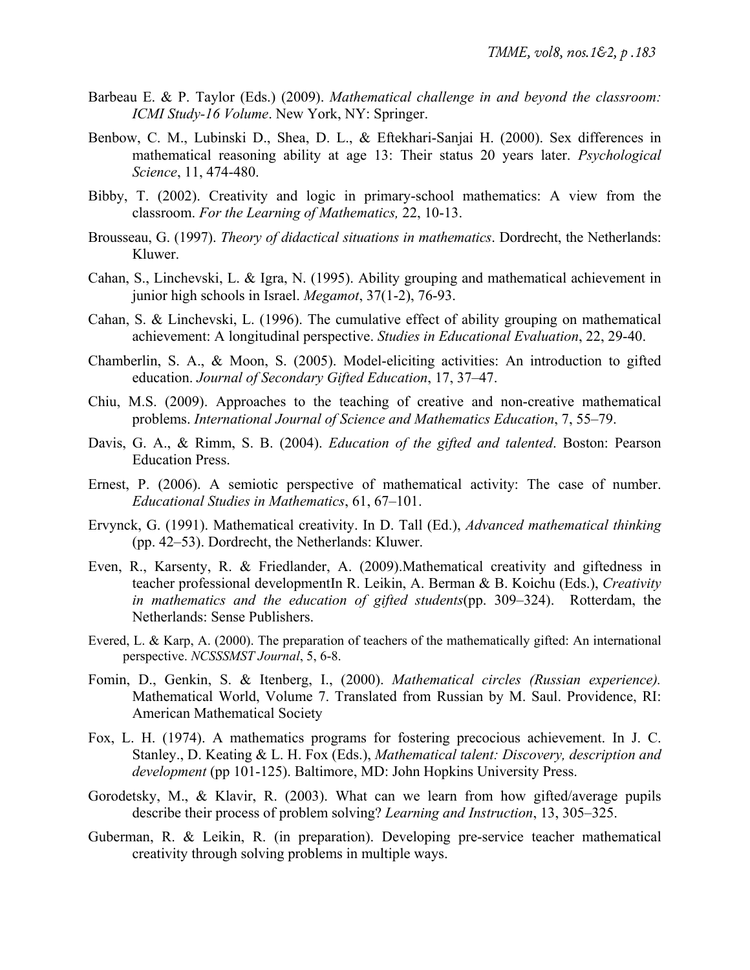- Barbeau E. & P. Taylor (Eds.) (2009). *Mathematical challenge in and beyond the classroom: ICMI Study-16 Volume*. New York, NY: Springer.
- Benbow, C. M., Lubinski D., Shea, D. L., & Eftekhari-Sanjai H. (2000). Sex differences in mathematical reasoning ability at age 13: Their status 20 years later. *Psychological Science*, 11, 474-480.
- Bibby, T. (2002). Creativity and logic in primary-school mathematics: A view from the classroom. *For the Learning of Mathematics,* 22, 10-13.
- Brousseau, G. (1997). *Theory of didactical situations in mathematics*. Dordrecht, the Netherlands: Kluwer.
- Cahan, S., Linchevski, L. & Igra, N. (1995). Ability grouping and mathematical achievement in junior high schools in Israel. *Megamot*, 37(1-2), 76-93.
- Cahan, S. & Linchevski, L. (1996). The cumulative effect of ability grouping on mathematical achievement: A longitudinal perspective. *Studies in Educational Evaluation*, 22, 29-40.
- Chamberlin, S. A., & Moon, S. (2005). Model-eliciting activities: An introduction to gifted education. *Journal of Secondary Gifted Education*, 17, 37–47.
- Chiu, M.S. (2009). Approaches to the teaching of creative and non-creative mathematical problems. *International Journal of Science and Mathematics Education*, 7, 55–79.
- Davis, G. A., & Rimm, S. B. (2004). *Education of the gifted and talented*. Boston: Pearson Education Press.
- Ernest, P. (2006). A semiotic perspective of mathematical activity: The case of number. *Educational Studies in Mathematics*, 61, 67–101.
- Ervynck, G. (1991). Mathematical creativity. In D. Tall (Ed.), *Advanced mathematical thinking* (pp. 42–53). Dordrecht, the Netherlands: Kluwer.
- Even, R., Karsenty, R. & Friedlander, A. (2009).Mathematical creativity and giftedness in teacher professional developmentIn R. Leikin, A. Berman & B. Koichu (Eds.), *Creativity in mathematics and the education of gifted students*(pp. 309–324). Rotterdam, the Netherlands: Sense Publishers.
- Evered, L. & Karp, A. (2000). The preparation of teachers of the mathematically gifted: An international perspective. *NCSSSMST Journal*, 5, 6-8.
- Fomin, D., Genkin, S. & Itenberg, I., (2000). *Mathematical circles (Russian experience).* Mathematical World, Volume 7. Translated from Russian by M. Saul. Providence, RI: American Mathematical Society
- Fox, L. H. (1974). A mathematics programs for fostering precocious achievement. In J. C. Stanley., D. Keating & L. H. Fox (Eds.), *Mathematical talent: Discovery, description and development* (pp 101-125). Baltimore, MD: John Hopkins University Press.
- Gorodetsky, M., & Klavir, R. (2003). What can we learn from how gifted/average pupils describe their process of problem solving? *Learning and Instruction*, 13, 305–325.
- Guberman, R. & Leikin, R. (in preparation). Developing pre-service teacher mathematical creativity through solving problems in multiple ways.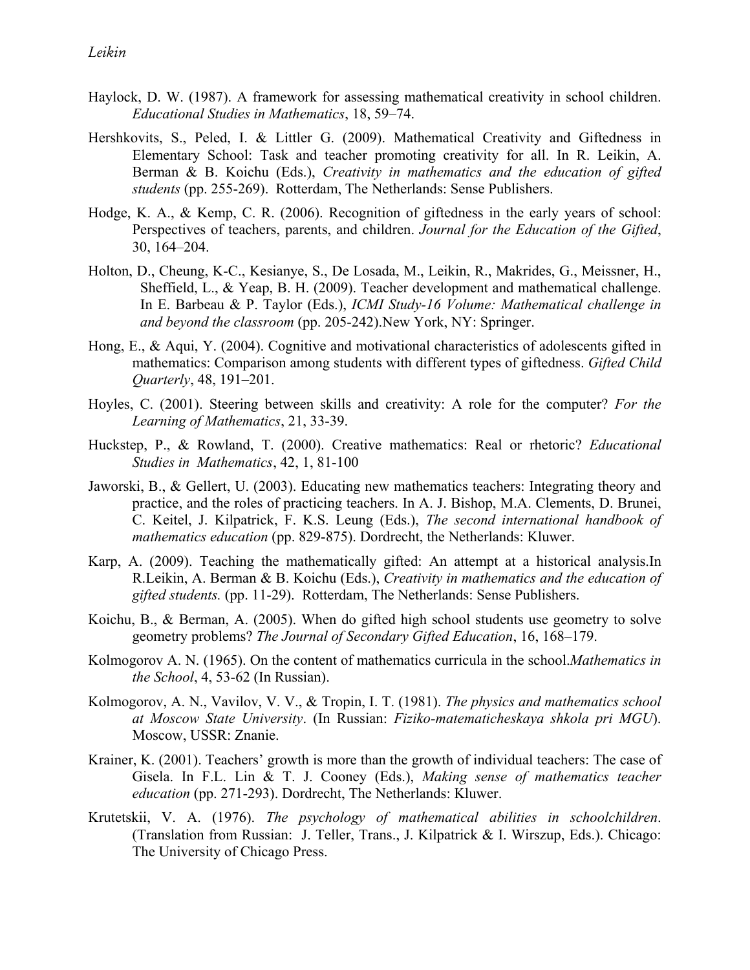- Haylock, D. W. (1987). A framework for assessing mathematical creativity in school children. *Educational Studies in Mathematics*, 18, 59–74.
- Hershkovits, S., Peled, I. & Littler G. (2009). Mathematical Creativity and Giftedness in Elementary School: Task and teacher promoting creativity for all. In R. Leikin, A. Berman & B. Koichu (Eds.), *Creativity in mathematics and the education of gifted students* (pp. 255-269). Rotterdam, The Netherlands: Sense Publishers.
- Hodge, K. A., & Kemp, C. R. (2006). Recognition of giftedness in the early years of school: Perspectives of teachers, parents, and children. *Journal for the Education of the Gifted*, 30, 164–204.
- Holton, D., Cheung, K-C., Kesianye, S., De Losada, M., Leikin, R., Makrides, G., Meissner, H., Sheffield, L., & Yeap, B. H. (2009). Teacher development and mathematical challenge. In E. Barbeau & P. Taylor (Eds.), *ICMI Study-16 Volume: Mathematical challenge in and beyond the classroom* (pp. 205-242).New York, NY: Springer.
- Hong, E., & Aqui, Y. (2004). Cognitive and motivational characteristics of adolescents gifted in mathematics: Comparison among students with different types of giftedness. *Gifted Child Quarterly*, 48, 191–201.
- Hoyles, C. (2001). Steering between skills and creativity: A role for the computer? *For the Learning of Mathematics*, 21, 33-39.
- Huckstep, P., & Rowland, T. (2000). Creative mathematics: Real or rhetoric? *Educational Studies in Mathematics*, 42, 1, 81-100
- Jaworski, B., & Gellert, U. (2003). Educating new mathematics teachers: Integrating theory and practice, and the roles of practicing teachers. In A. J. Bishop, M.A. Clements, D. Brunei, C. Keitel, J. Kilpatrick, F. K.S. Leung (Eds.), *The second international handbook of mathematics education* (pp. 829-875). Dordrecht, the Netherlands: Kluwer.
- Karp, A. (2009). Teaching the mathematically gifted: An attempt at a historical analysis.In R.Leikin, A. Berman & B. Koichu (Eds.), *Creativity in mathematics and the education of gifted students.* (pp. 11-29). Rotterdam, The Netherlands: Sense Publishers.
- Koichu, B., & Berman, A. (2005). When do gifted high school students use geometry to solve geometry problems? *The Journal of Secondary Gifted Education*, 16, 168–179.
- Kolmogorov A. N. (1965). On the content of mathematics curricula in the school.*Mathematics in the School*, 4, 53-62 (In Russian).
- Kolmogorov, A. N., Vavilov, V. V., & Tropin, I. T. (1981). *The physics and mathematics school at Moscow State University*. (In Russian: *Fiziko-matematicheskaya shkola pri MGU*). Moscow, USSR: Znanie.
- Krainer, K. (2001). Teachers' growth is more than the growth of individual teachers: The case of Gisela. In F.L. Lin & T. J. Cooney (Eds.), *Making sense of mathematics teacher education* (pp. 271-293). Dordrecht, The Netherlands: Kluwer.
- Krutetskii, V. A. (1976). *The psychology of mathematical abilities in schoolchildren*. (Translation from Russian: J. Teller, Trans., J. Kilpatrick & I. Wirszup, Eds.). Chicago: The University of Chicago Press.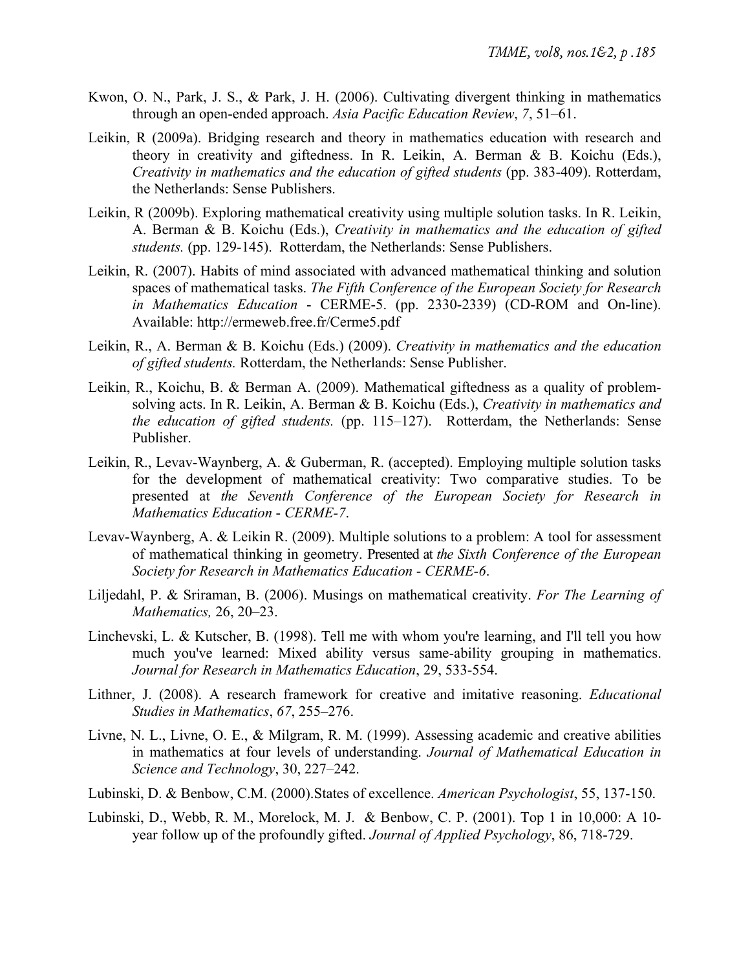- Kwon, O. N., Park, J. S., & Park, J. H. (2006). Cultivating divergent thinking in mathematics through an open-ended approach. *Asia Pacific Education Review*, *7*, 51–61.
- Leikin, R (2009a). Bridging research and theory in mathematics education with research and theory in creativity and giftedness. In R. Leikin, A. Berman & B. Koichu (Eds.), *Creativity in mathematics and the education of gifted students* (pp. 383-409). Rotterdam, the Netherlands: Sense Publishers.
- Leikin, R (2009b). Exploring mathematical creativity using multiple solution tasks. In R. Leikin, A. Berman & B. Koichu (Eds.), *Creativity in mathematics and the education of gifted students.* (pp. 129-145). Rotterdam, the Netherlands: Sense Publishers.
- Leikin, R. (2007). Habits of mind associated with advanced mathematical thinking and solution spaces of mathematical tasks. *The Fifth Conference of the European Society for Research in Mathematics Education* - CERME-5. (pp. 2330-2339) (CD-ROM and On-line). Available: http://ermeweb.free.fr/Cerme5.pdf
- Leikin, R., A. Berman & B. Koichu (Eds.) (2009). *Creativity in mathematics and the education of gifted students.* Rotterdam, the Netherlands: Sense Publisher.
- Leikin, R., Koichu, B. & Berman A. (2009). Mathematical giftedness as a quality of problemsolving acts. In R. Leikin, A. Berman & B. Koichu (Eds.), *Creativity in mathematics and the education of gifted students.* (pp. 115–127). Rotterdam, the Netherlands: Sense Publisher.
- Leikin, R., Levav-Waynberg, A. & Guberman, R. (accepted). Employing multiple solution tasks for the development of mathematical creativity: Two comparative studies. To be presented at *the Seventh Conference of the European Society for Research in Mathematics Education* - *CERME-7*.
- Levav-Waynberg, A. & Leikin R. (2009). Multiple solutions to a problem: A tool for assessment of mathematical thinking in geometry. Presented at *the Sixth Conference of the European Society for Research in Mathematics Education* - *CERME-6*.
- Liljedahl, P. & Sriraman, B. (2006). Musings on mathematical creativity. *For The Learning of Mathematics,* 26, 20–23.
- Linchevski, L. & Kutscher, B. (1998). Tell me with whom you're learning, and I'll tell you how much you've learned: Mixed ability versus same-ability grouping in mathematics. *Journal for Research in Mathematics Education*, 29, 533-554.
- Lithner, J. (2008). A research framework for creative and imitative reasoning. *Educational Studies in Mathematics*, *67*, 255–276.
- Livne, N. L., Livne, O. E., & Milgram, R. M. (1999). Assessing academic and creative abilities in mathematics at four levels of understanding. *Journal of Mathematical Education in Science and Technology*, 30, 227–242.
- Lubinski, D. & Benbow, C.M. (2000).States of excellence. *American Psychologist*, 55, 137-150.
- Lubinski, D., Webb, R. M., Morelock, M. J. & Benbow, C. P. (2001). Top 1 in 10,000: A 10 year follow up of the profoundly gifted. *Journal of Applied Psychology*, 86, 718-729.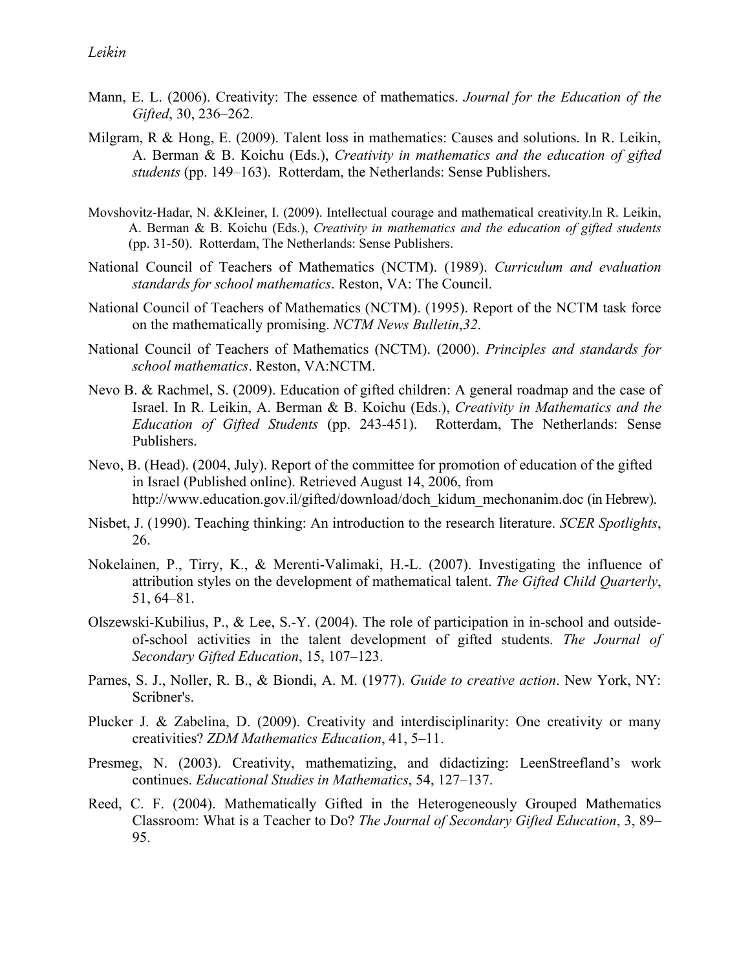- Mann, E. L. (2006). Creativity: The essence of mathematics. *Journal for the Education of the Gifted*, 30, 236–262.
- Milgram, R & Hong, E. (2009). Talent loss in mathematics: Causes and solutions. In R. Leikin, A. Berman & B. Koichu (Eds.), *Creativity in mathematics and the education of gifted students* (pp. 149–163). Rotterdam, the Netherlands: Sense Publishers.
- Movshovitz-Hadar, N. &Kleiner, I. (2009). Intellectual courage and mathematical creativity.In R. Leikin, A. Berman & B. Koichu (Eds.), *Creativity in mathematics and the education of gifted students* (pp. 31-50). Rotterdam, The Netherlands: Sense Publishers.
- National Council of Teachers of Mathematics (NCTM). (1989). *Curriculum and evaluation standards for school mathematics*. Reston, VA: The Council.
- National Council of Teachers of Mathematics (NCTM). (1995). Report of the NCTM task force on the mathematically promising. *NCTM News Bulletin*,*32*.
- National Council of Teachers of Mathematics (NCTM). (2000). *Principles and standards for school mathematics*. Reston, VA:NCTM.
- Nevo B. & Rachmel, S. (2009). Education of gifted children: A general roadmap and the case of Israel. In R. Leikin, A. Berman & B. Koichu (Eds.), *Creativity in Mathematics and the Education of Gifted Students* (pp. 243-451). Rotterdam, The Netherlands: Sense Publishers.
- Nevo, B. (Head). (2004, July). Report of the committee for promotion of education of the gifted in Israel (Published online). Retrieved August 14, 2006, from http://www.education.gov.il/gifted/download/doch\_kidum\_mechonanim.doc (in Hebrew).
- Nisbet, J. (1990). Teaching thinking: An introduction to the research literature. *SCER Spotlights*, 26.
- Nokelainen, P., Tirry, K., & Merenti-Valimaki, H.-L. (2007). Investigating the influence of attribution styles on the development of mathematical talent. *The Gifted Child Quarterly*, 51, 64–81.
- Olszewski-Kubilius, P., & Lee, S.-Y. (2004). The role of participation in in-school and outsideof-school activities in the talent development of gifted students. *The Journal of Secondary Gifted Education*, 15, 107–123.
- Parnes, S. J., Noller, R. B., & Biondi, A. M. (1977). *Guide to creative action*. New York, NY: Scribner's.
- Plucker J. & Zabelina, D. (2009). Creativity and interdisciplinarity: One creativity or many creativities? *ZDM Mathematics Education*, 41, 5–11.
- Presmeg, N. (2003). Creativity, mathematizing, and didactizing: LeenStreefland's work continues. *Educational Studies in Mathematics*, 54, 127–137.
- Reed, C. F. (2004). Mathematically Gifted in the Heterogeneously Grouped Mathematics Classroom: What is a Teacher to Do? *The Journal of Secondary Gifted Education*, 3, 89– 95.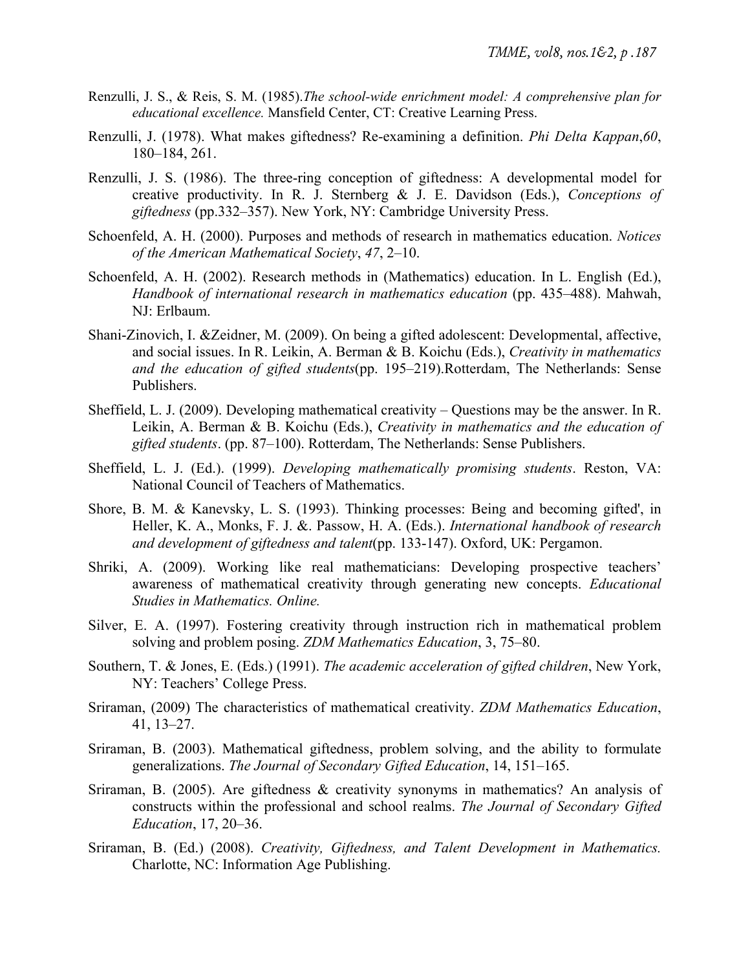- Renzulli, J. S., & Reis, S. M. (1985).*The school-wide enrichment model: A comprehensive plan for educational excellence.* Mansfield Center, CT: Creative Learning Press.
- Renzulli, J. (1978). What makes giftedness? Re-examining a definition. *Phi Delta Kappan*,*60*, 180–184, 261.
- Renzulli, J. S. (1986). The three-ring conception of giftedness: A developmental model for creative productivity. In R. J. Sternberg & J. E. Davidson (Eds.), *Conceptions of giftedness* (pp.332–357). New York, NY: Cambridge University Press.
- Schoenfeld, A. H. (2000). Purposes and methods of research in mathematics education. *Notices of the American Mathematical Society*, *47*, 2–10.
- Schoenfeld, A. H. (2002). Research methods in (Mathematics) education. In L. English (Ed.), *Handbook of international research in mathematics education* (pp. 435–488). Mahwah, NJ: Erlbaum.
- Shani-Zinovich, I. &Zeidner, M. (2009). On being a gifted adolescent: Developmental, affective, and social issues. In R. Leikin, A. Berman & B. Koichu (Eds.), *Creativity in mathematics and the education of gifted students*(pp. 195–219).Rotterdam, The Netherlands: Sense Publishers.
- Sheffield, L. J. (2009). Developing mathematical creativity Questions may be the answer. In R. Leikin, A. Berman & B. Koichu (Eds.), *Creativity in mathematics and the education of gifted students*. (pp. 87–100). Rotterdam, The Netherlands: Sense Publishers.
- Sheffield, L. J. (Ed.). (1999). *Developing mathematically promising students*. Reston, VA: National Council of Teachers of Mathematics.
- Shore, B. M. & Kanevsky, L. S. (1993). Thinking processes: Being and becoming gifted', in Heller, K. A., Monks, F. J. &. Passow, H. A. (Eds.). *International handbook of research and development of giftedness and talent*(pp. 133-147). Oxford, UK: Pergamon.
- Shriki, A. (2009). Working like real mathematicians: Developing prospective teachers' awareness of mathematical creativity through generating new concepts. *Educational Studies in Mathematics. Online.*
- Silver, E. A. (1997). Fostering creativity through instruction rich in mathematical problem solving and problem posing. *ZDM Mathematics Education*, 3, 75–80.
- Southern, T. & Jones, E. (Eds.) (1991). *The academic acceleration of gifted children*, New York, NY: Teachers' College Press.
- Sriraman, (2009) The characteristics of mathematical creativity. *ZDM Mathematics Education*, 41, 13–27.
- Sriraman, B. (2003). Mathematical giftedness, problem solving, and the ability to formulate generalizations. *The Journal of Secondary Gifted Education*, 14, 151–165.
- Sriraman, B. (2005). Are giftedness & creativity synonyms in mathematics? An analysis of constructs within the professional and school realms. *The Journal of Secondary Gifted Education*, 17, 20–36.
- Sriraman, B. (Ed.) (2008). *Creativity, Giftedness, and Talent Development in Mathematics.* Charlotte, NC: Information Age Publishing.